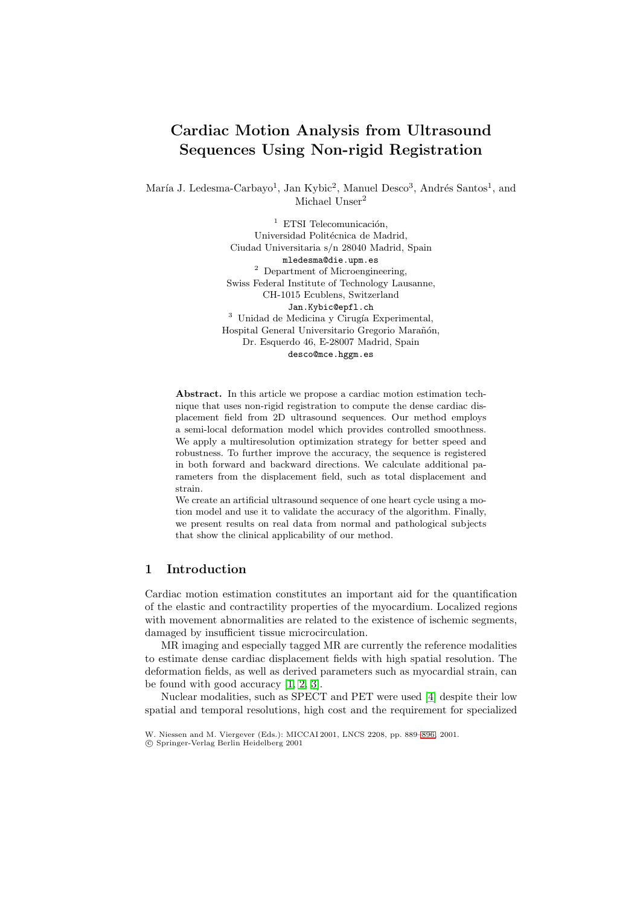# **Cardiac Motion Analysis from Ultrasound Sequences Using Non-rigid Registration**

María J. Ledesma-Carbayo<sup>1</sup>, Jan Kybic<sup>2</sup>, Manuel Desco<sup>3</sup>, Andrés Santos<sup>1</sup>, and Michael Unser<sup>2</sup>

> $1$  ETSI Telecomunicación. Universidad Politécnica de Madrid, Ciudad Universitaria s/n 28040 Madrid, Spain mledesma@die.upm.es  $2$  Department of Microengineering, Swiss Federal Institute of Technology Lausanne, CH-1015 Ecublens, Switzerland Jan.Kybic@epfl.ch  $3$  Unidad de Medicina y Cirugía Experimental, Hospital General Universitario Gregorio Marañón, Dr. Esquerdo 46, E-28007 Madrid, Spain desco@mce.hggm.es

**Abstract.** In this article we propose a cardiac motion estimation technique that uses non-rigid registration to compute the dense cardiac displacement field from 2D ultrasound sequences. Our method employs a semi-local deformation model which provides controlled smoothness. We apply a multiresolution optimization strategy for better speed and robustness. To further improve the accuracy, the sequence is registered in both forward and backward directions. We calculate additional parameters from the displacement field, such as total displacement and strain.

We create an artificial ultrasound sequence of one heart cycle using a motion model and use it to validate the accuracy of the algorithm. Finally, we present results on real data from normal and pathological subjects that show the clinical applicability of our method.

## **1 Introduction**

Cardiac motion estimation constitutes an important aid for the quantification of the elastic and contractility properties of the myocardium. Localized regions with movement abnormalities are related to the existence of ischemic segments, damaged by insufficient tissue microcirculation.

MR imaging and especially tagged MR are currently the reference modalities to estimate dense cardiac displacement fields with high spatial resolution. The deformation fields, as well as derived parameters such as myocardial strain, can be found with good accuracy [\[1,](#page-6-0) [2,](#page-6-1) [3\]](#page-6-2).

Nuclear modalities, such as SPECT and PET were used [\[4\]](#page-7-0) despite their low spatial and temporal resolutions, high cost and the requirement for specialized

c Springer-Verlag Berlin Heidelberg 2001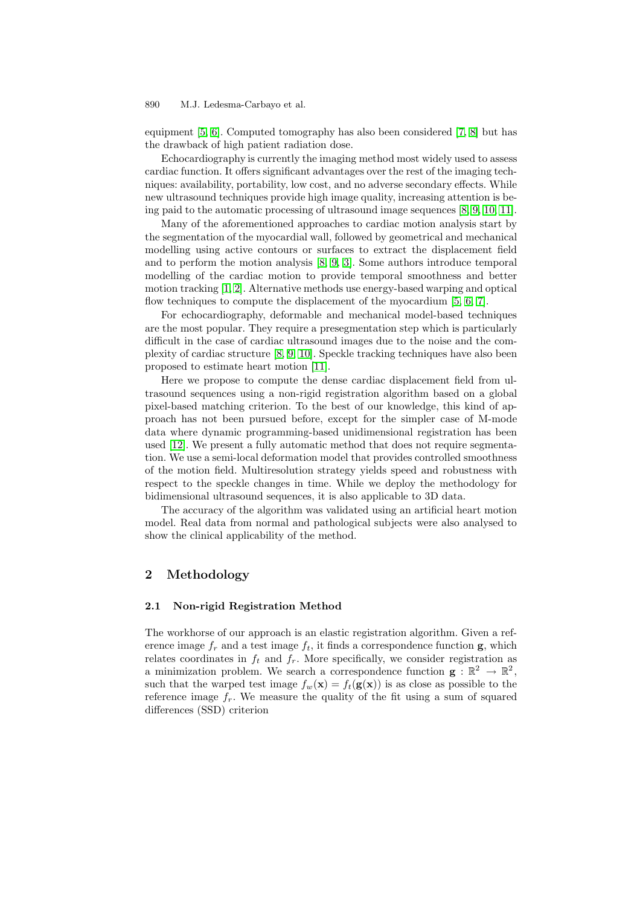equipment [\[5,](#page-7-2) [6\]](#page-7-3). Computed tomography has also been considered [\[7,](#page-7-4) [8\]](#page-7-5) but has the drawback of high patient radiation dose.

Echocardiography is currently the imaging method most widely used to assess cardiac function. It offers significant advantages over the rest of the imaging techniques: availability, portability, low cost, and no adverse secondary effects. While new ultrasound techniques provide high image quality, increasing attention is being paid to the automatic processing of ultrasound image sequences  $[8, 9, 10, 11]$  $[8, 9, 10, 11]$  $[8, 9, 10, 11]$  $[8, 9, 10, 11]$ .

Many of the aforementioned approaches to cardiac motion analysis start by the segmentation of the myocardial wall, followed by geometrical and mechanical modelling using active contours or surfaces to extract the displacement field and to perform the motion analysis [\[8,](#page-7-5) [9,](#page-7-6) [3\]](#page-6-2). Some authors introduce temporal modelling of the cardiac motion to provide temporal smoothness and better motion tracking [\[1,](#page-6-0) [2\]](#page-6-1). Alternative methods use energy-based warping and optical flow techniques to compute the displacement of the myocardium  $[5, 6, 7]$  $[5, 6, 7]$  $[5, 6, 7]$ .

For echocardiography, deformable and mechanical model-based techniques are the most popular. They require a presegmentation step which is particularly difficult in the case of cardiac ultrasound images due to the noise and the complexity of cardiac structure  $[8, 9, 10]$  $[8, 9, 10]$  $[8, 9, 10]$ . Speckle tracking techniques have also been proposed to estimate heart motion [\[11\]](#page-7-8).

Here we propose to compute the dense cardiac displacement field from ultrasound sequences using a non-rigid registration algorithm based on a global pixel-based matching criterion. To the best of our knowledge, this kind of approach has not been pursued before, except for the simpler case of M-mode data where dynamic programming-based unidimensional registration has been used [\[12\]](#page-7-9). We present a fully automatic method that does not require segmentation. We use a semi-local deformation model that provides controlled smoothness of the motion field. Multiresolution strategy yields speed and robustness with respect to the speckle changes in time. While we deploy the methodology for bidimensional ultrasound sequences, it is also applicable to 3D data.

The accuracy of the algorithm was validated using an artificial heart motion model. Real data from normal and pathological subjects were also analysed to show the clinical applicability of the method.

## **2 Methodology**

### **2.1 Non-rigid Registration Method**

The workhorse of our approach is an elastic registration algorithm. Given a reference image  $f_r$  and a test image  $f_t$ , it finds a correspondence function **g**, which relates coordinates in  $f_t$  and  $f_r$ . More specifically, we consider registration as a minimization problem. We search a correspondence function  $\mathbf{g} : \mathbb{R}^2 \to \mathbb{R}^2$ , such that the warped test image  $f_w(\mathbf{x}) = f_t(\mathbf{g}(\mathbf{x}))$  is as close as possible to the reference image  $f_r$ . We measure the quality of the fit using a sum of squared differences (SSD) criterion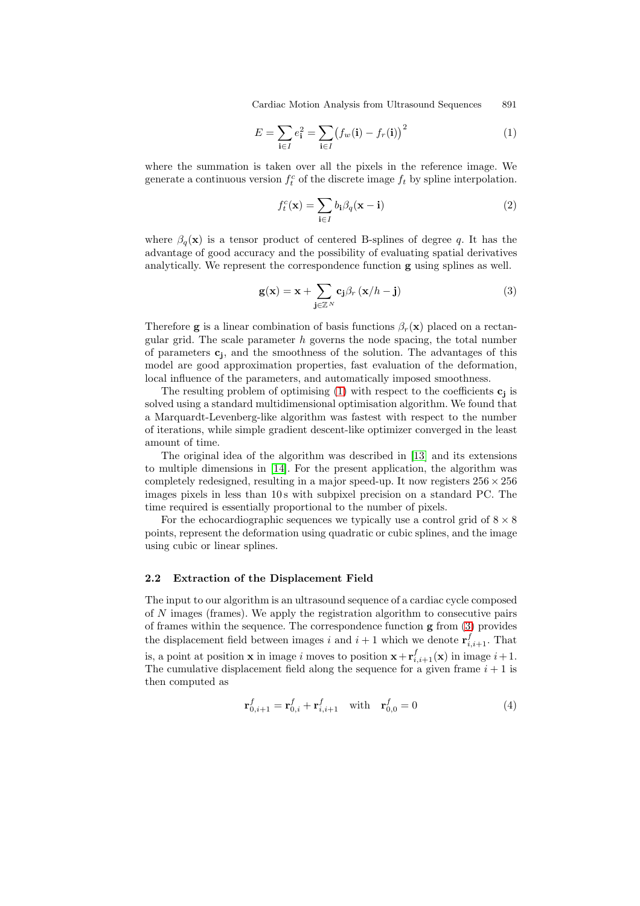$$
E = \sum_{\mathbf{i} \in I} e_{\mathbf{i}}^2 = \sum_{\mathbf{i} \in I} \bigl( f_w(\mathbf{i}) - f_r(\mathbf{i}) \bigr)^2 \tag{1}
$$

where the summation is taken over all the pixels in the reference image. We generate a continuous version  $f_t^c$  of the discrete image  $f_t$  by spline interpolation.

<span id="page-2-2"></span><span id="page-2-0"></span>
$$
f_t^c(\mathbf{x}) = \sum_{\mathbf{i} \in I} b_{\mathbf{i}} \beta_q(\mathbf{x} - \mathbf{i}) \tag{2}
$$

where  $\beta_q(\mathbf{x})$  is a tensor product of centered B-splines of degree q. It has the advantage of good accuracy and the possibility of evaluating spatial derivatives analytically. We represent the correspondence function **g** using splines as well.

<span id="page-2-1"></span>
$$
\mathbf{g}(\mathbf{x}) = \mathbf{x} + \sum_{\mathbf{j} \in \mathbb{Z}^N} \mathbf{c}_{\mathbf{j}} \beta_r (\mathbf{x}/h - \mathbf{j}) \tag{3}
$$

Therefore **g** is a linear combination of basis functions  $\beta_r(\mathbf{x})$  placed on a rectangular grid. The scale parameter  $h$  governs the node spacing, the total number of parameters  $c_i$ , and the smoothness of the solution. The advantages of this model are good approximation properties, fast evaluation of the deformation, local influence of the parameters, and automatically imposed smoothness.

The resulting problem of optimising  $(1)$  with respect to the coefficients  $\mathbf{c}_j$  is solved using a standard multidimensional optimisation algorithm. We found that a Marquardt-Levenberg-like algorithm was fastest with respect to the number ofiterations, while simple gradient descent-like optimizer converged in the least amount of time.

The original idea of the algorithm was described in  $|13|$  and its extensions to multiple dimensions in [\[14\]](#page-7-11). For the present application, the algorithm was completely redesigned, resulting in a major speed-up. It now registers  $256 \times 256$ images pixels in less than 10s with subpixel precision on a standard PC. The time required is essentially proportional to the number of pixels.

For the echocardiographic sequences we typically use a control grid of  $8 \times 8$ points, represent the deformation using quadratic or cubic splines, and the image using cubic or linear splines.

#### **2.2 Extraction of the Displacement Field**

The input to our algorithm is an ultrasound sequence of a cardiac cycle composed of N images (frames). We apply the registration algorithm to consecutive pairs of frames within the sequence. The correspondence function **g** from [\(3\)](#page-2-1) provides the displacement field between images  $i$  and  $i + 1$  which we denote  $\mathbf{r}_{i,i+1}^f$ . That is, a point at position **x** in image i moves to position  $\mathbf{x} + \mathbf{r}_{i,i+1}^f(\mathbf{x})$  in image  $i+1$ . The cumulative displacement field along the sequence for a given frame  $i + 1$  is then computed as

$$
\mathbf{r}_{0,i+1}^f = \mathbf{r}_{0,i}^f + \mathbf{r}_{i,i+1}^f \quad \text{with} \quad \mathbf{r}_{0,0}^f = 0 \tag{4}
$$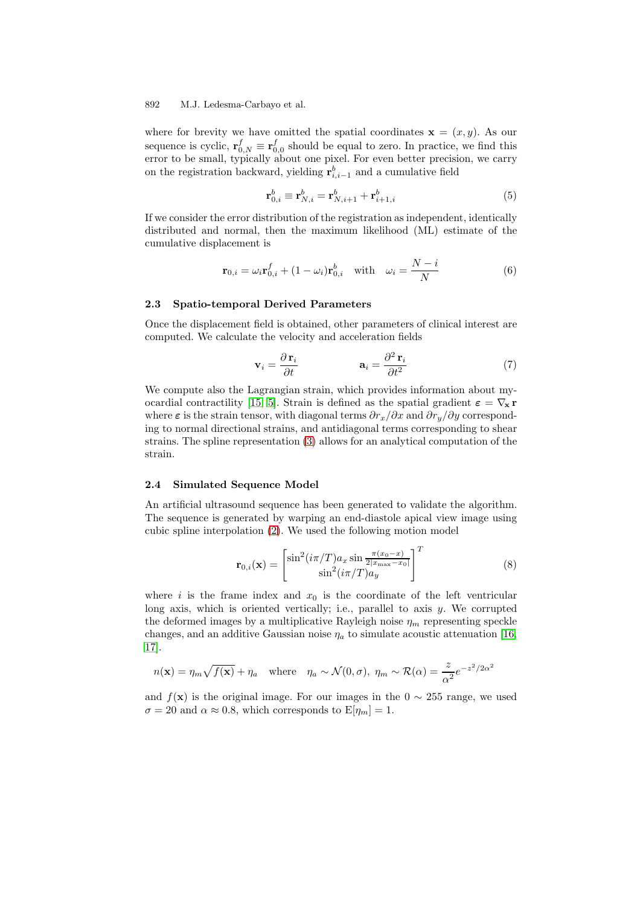where for brevity we have omitted the spatial coordinates  $\mathbf{x} = (x, y)$ . As our sequence is cyclic,  $\mathbf{r}_{0,N}^f \equiv \mathbf{r}_{0,0}^f$  should be equal to zero. In practice, we find this error to be small, typically about one pixel. For even better precision, we carry on the registration backward, yielding  $\mathbf{r}_{i,i-1}^b$  and a cumulative field

$$
\mathbf{r}_{0,i}^b \equiv \mathbf{r}_{N,i}^b = \mathbf{r}_{N,i+1}^b + \mathbf{r}_{i+1,i}^b \tag{5}
$$

If we consider the error distribution of the registration as independent, identically distributed and normal, then the maximum likelihood (ML) estimate of the cumulative displacement is

$$
\mathbf{r}_{0,i} = \omega_i \mathbf{r}_{0,i}^f + (1 - \omega_i) \mathbf{r}_{0,i}^b \quad \text{with} \quad \omega_i = \frac{N - i}{N} \tag{6}
$$

#### **2.3 Spatio-temporal Derived Parameters**

Once the displacement field is obtained, other parameters of clinical interest are computed. We calculate the velocity and acceleration fields

$$
\mathbf{v}_{i} = \frac{\partial \mathbf{r}_{i}}{\partial t} \qquad \qquad \mathbf{a}_{i} = \frac{\partial^{2} \mathbf{r}_{i}}{\partial t^{2}} \qquad (7)
$$

We compute also the Lagrangian strain, which provides information about my-ocardial contractility [\[15,](#page-7-12) [5\]](#page-7-2). Strain is defined as the spatial gradient  $\varepsilon = \nabla_{\mathbf{x}} \mathbf{r}$ where  $\varepsilon$  is the strain tensor, with diagonal terms  $\partial r_x/\partial x$  and  $\partial r_y/\partial y$  corresponding to normal directional strains, and antidiagonal terms corresponding to shear strains. The spline representation [\(3\)](#page-2-1) allows for an analytical computation of the strain.

#### <span id="page-3-0"></span>**2.4 Simulated Sequence Model**

An artificial ultrasound sequence has been generated to validate the algorithm. The sequence is generated by warping an end-diastole apical view image using cubic spline interpolation [\(2\)](#page-2-2). We used the following motion model

$$
\mathbf{r}_{0,i}(\mathbf{x}) = \begin{bmatrix} \sin^2(i\pi/T)a_x \sin\frac{\pi(x_0-x)}{2|x_{\max}-x_0|} \\ \sin^2(i\pi/T)a_y \end{bmatrix}^T
$$
(8)

where i is the frame index and  $x_0$  is the coordinate of the left ventricular long axis, which is oriented vertically; i.e., parallel to axis  $y$ . We corrupted the deformed images by a multiplicative Rayleigh noise  $\eta_m$  representing speckle changes, and an additive Gaussian noise  $\eta_a$  to simulate acoustic attenuation [\[16,](#page-7-13) [17\]](#page-7-14).

$$
n(\mathbf{x}) = \eta_m \sqrt{f(\mathbf{x})} + \eta_a \quad \text{where} \quad \eta_a \sim \mathcal{N}(0, \sigma), \ \eta_m \sim \mathcal{R}(\alpha) = \frac{z}{\alpha^2} e^{-z^2/2\alpha^2}
$$

and  $f(\mathbf{x})$  is the original image. For our images in the  $0 \sim 255$  range, we used  $\sigma = 20$  and  $\alpha \approx 0.8$ , which corresponds to  $E[\eta_m] = 1$ .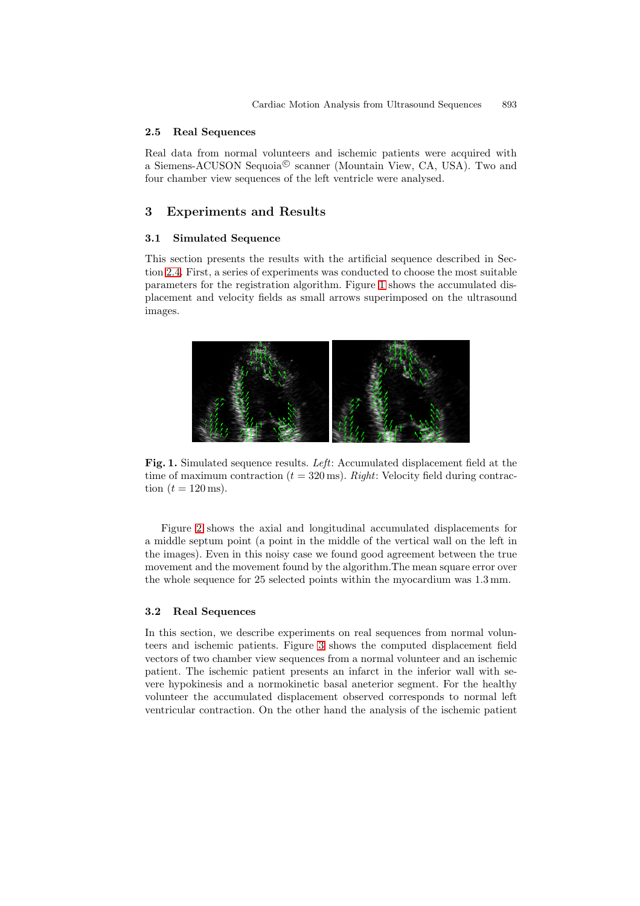#### **2.5 Real Sequences**

Real data from normal volunteers and ischemic patients were acquired with a Siemens-ACUSON Sequoia<sup> $\circledcirc$ </sup> scanner (Mountain View, CA, USA). Two and four chamber view sequences of the left ventricle were analysed.

## **3 Experiments and Results**

#### **3.1 Simulated Sequence**

This section presents the results with the artificial sequence described in Sec-tion [2.4.](#page-3-0) First, a series of experiments was conducted to choose the most suitable parameters for the registration algorithm. Figure [1](#page-4-0) shows the accumulated displacement and velocity fields as small arrows superimposed on the ultrasound images.



<span id="page-4-0"></span>**Fig. 1.** Simulated sequence results. *Left*: Accumulated displacement field at the time of maximum contraction  $(t = 320 \,\text{ms})$ . *Right*: Velocity field during contraction  $(t = 120 \,\text{ms})$ .

Figure [2](#page-5-0) shows the axial and longitudinal accumulated displacements for a middle septum point (a point in the middle of the vertical wall on the left in the images). Even in this noisy case we found good agreement between the true movement and the movement found by the algorithm.The mean square error over the whole sequence for 25 selected points within the myocardium was 1.3 mm.

#### **3.2 Real Sequences**

In this section, we describe experiments on real sequences from normal volunteers and ischemic patients. Figure [3](#page-5-1) shows the computed displacement field vectors oftwo chamber view sequences from a normal volunteer and an ischemic patient. The ischemic patient presents an infarct in the inferior wall with severe hypokinesis and a normokinetic basal aneterior segment. For the healthy volunteer the accumulated displacement observed corresponds to normal left ventricular contraction. On the other hand the analysis of the ischemic patient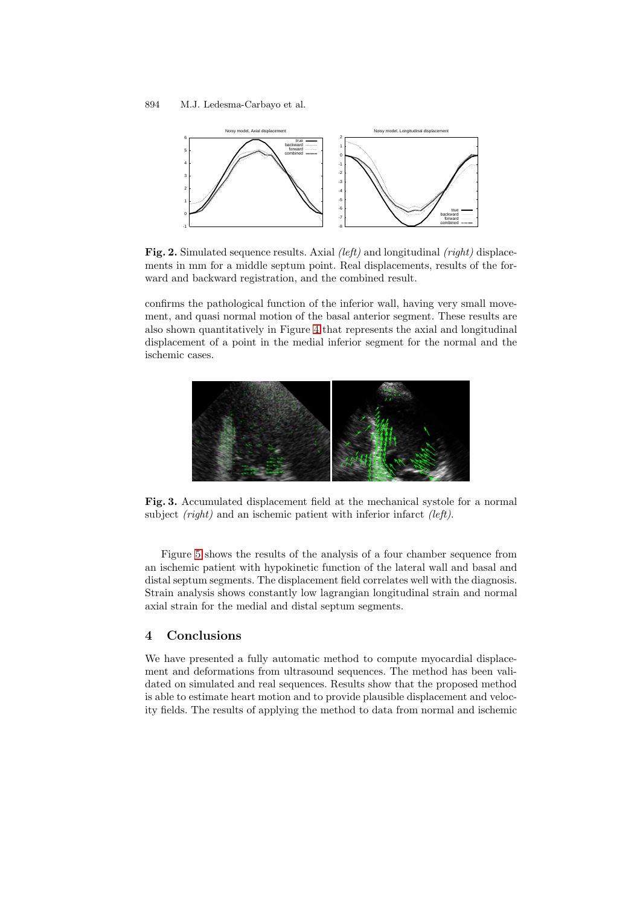

<span id="page-5-0"></span>**Fig. 2.** Simulated sequence results. Axial *(left)* and longitudinal *(right)* displacements in mm for a middle septum point. Real displacements, results of the forward and backward registration, and the combined result.

confirms the pathological function of the inferior wall, having very small movement, and quasi normal motion of the basal anterior segment. These results are also shown quantitatively in Figure [4](#page-6-3) that represents the axial and longitudinal displacement of a point in the medial inferior segment for the normal and the ischemic cases.



<span id="page-5-1"></span>**Fig. 3.** Accumulated displacement field at the mechanical systole for a normal subject *(right)* and an ischemic patient with inferior infarct *(left)*.

Figure [5](#page-6-4) shows the results of the analysis of a four chamber sequence from an ischemic patient with hypokinetic function of the lateral wall and basal and distal septum segments. The displacement field correlates well with the diagnosis. Strain analysis shows constantly low lagrangian longitudinal strain and normal axial strain for the medial and distal septum segments.

## **4 Conclusions**

We have presented a fully automatic method to compute myocardial displacement and deformations from ultrasound sequences. The method has been validated on simulated and real sequences. Results show that the proposed method is able to estimate heart motion and to provide plausible displacement and velocity fields. The results of applying the method to data from normal and ischemic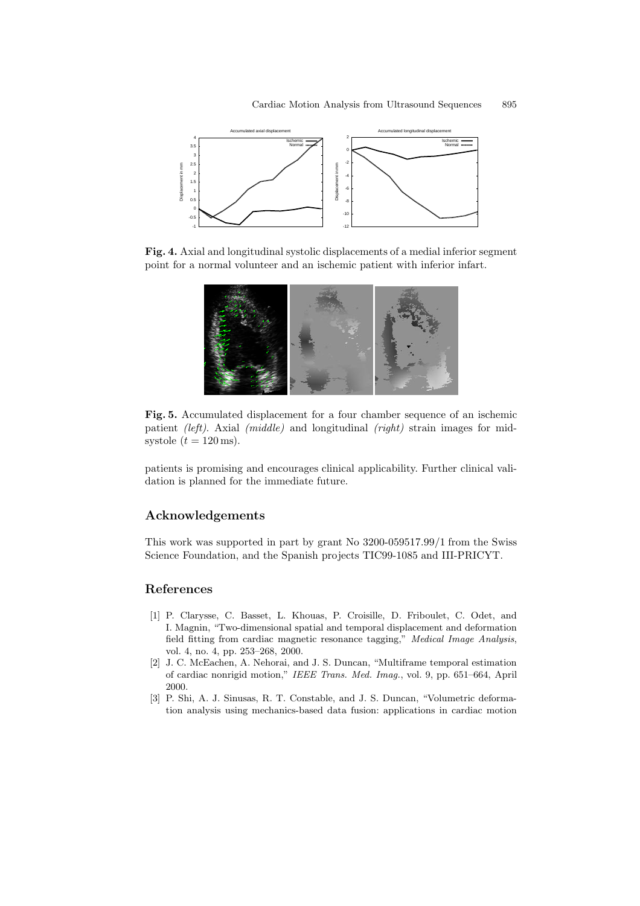

<span id="page-6-3"></span>**Fig. 4.** Axial and longitudinal systolic displacements of a medial inferior segment point for a normal volunteer and an ischemic patient with inferior infart.



<span id="page-6-4"></span>**Fig. 5.** Accumulated displacement for a four chamber sequence of an ischemic patient *(left)*. Axial *(middle)* and longitudinal *(right)* strain images for midsystole  $(t = 120 \,\text{ms})$ .

patients is promising and encourages clinical applicability. Further clinical validation is planned for the immediate future.

## **Acknowledgements**

This work was supported in part by grant No 3200-059517.99/1 from the Swiss Science Foundation, and the Spanish projects TIC99-1085 and III-PRICYT.

## <span id="page-6-0"></span>**References**

- [1] P. Clarysse, C. Basset, L. Khouas, P. Croisille, D. Friboulet, C. Odet, and I. Magnin, "Two-dimensional spatial and temporal displacement and deformation field fitting from cardiac magnetic resonance tagging," *Medical Image Analysis*, vol. 4, no. 4, pp. 253–268, 2000.
- <span id="page-6-1"></span>[2] J. C. McEachen, A. Nehorai, and J. S. Duncan, "Multiframe temporal estimation ofcardiac nonrigid motion," *IEEE Trans. Med. Imag.*, vol. 9, pp. 651–664, April 2000.
- <span id="page-6-2"></span>[3] P. Shi, A. J. Sinusas, R. T. Constable, and J. S. Duncan, "Volumetric deformation analysis using mechanics-based data fusion: applications in cardiac motion